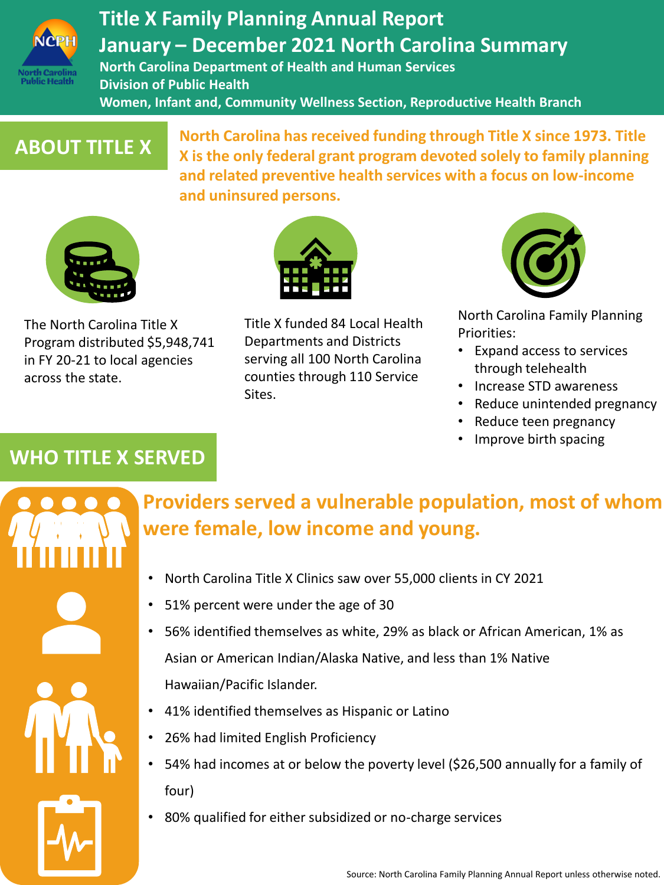

## **Title X Family Planning Annual Report January – December 2021 North Carolina Summary**

**North Carolina Department of Health and Human Services Division of Public Health Women, Infant and, Community Wellness Section, Reproductive Health Branch**

## **ABOUT TITLE X**

**North Carolina has received funding through Title X since 1973. Title X is the only federal grant program devoted solely to family planning and related preventive health services with a focus on low-income and uninsured persons.** 



The North Carolina Title X Program distributed \$5,948,741 in FY 20-21 to local agencies across the state.



Title X funded 84 Local Health Departments and Districts serving all 100 North Carolina counties through 110 Service Sites.



North Carolina Family Planning Priorities:

- Expand access to services through telehealth
- Increase STD awareness
- Reduce unintended pregnancy
- Reduce teen pregnancy
- Improve birth spacing

## **WHO TITLE X SERVED**

| <b>MARITAN</b> |  |
|----------------|--|
|                |  |
| <b>TYTY</b>    |  |
|                |  |

## **Providers served a vulnerable population, most of whom were female, low income and young.**

- North Carolina Title X Clinics saw over 55,000 clients in CY 2021
- 51% percent were under the age of 30
- 56% identified themselves as white, 29% as black or African American, 1% as Asian or American Indian/Alaska Native, and less than 1% Native Hawaiian/Pacific Islander.
- 41% identified themselves as Hispanic or Latino
- 26% had limited English Proficiency
- 54% had incomes at or below the poverty level (\$26,500 annually for a family of four)
- 80% qualified for either subsidized or no-charge services